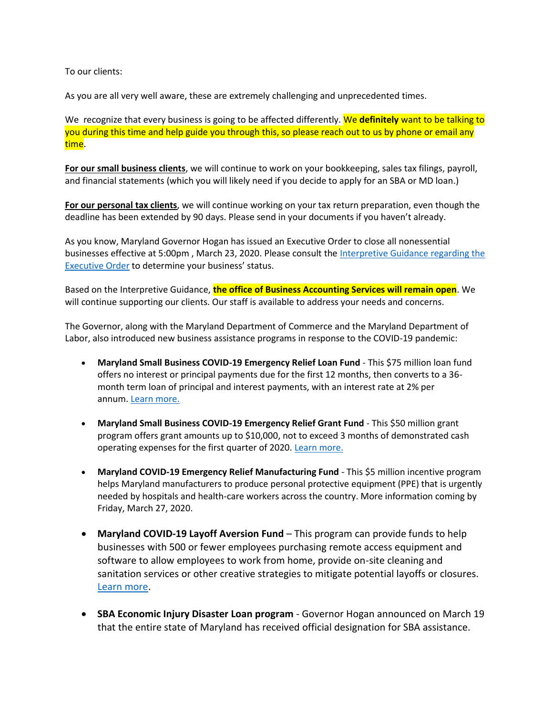To our clients:

As you are all very well aware, these are extremely challenging and unprecedented times.

We recognize that every business is going to be affected differently. We **definitely** want to be talking to you during this time and help guide you through this, so please reach out to us by phone or email any time.

**For our small business clients**, we will continue to work on your bookkeeping, sales tax filings, payroll, and financial statements (which you will likely need if you decide to apply for an SBA or MD loan.)

**For our personal tax clients**, we will continue working on your tax return preparation, even though the deadline has been extended by 90 days. Please send in your documents if you haven't already.

As you know, Maryland Governor Hogan has issued an Executive Order to close all nonessential businesses effective at 5:00pm , March 23, 2020. Please consult the [Interpretive Guidance regarding the](https://governor.maryland.gov/wp-content/uploads/2020/03/OLC-Interpretive-Guidance-COVID19-04.pdf)  [Executive Order](https://governor.maryland.gov/wp-content/uploads/2020/03/OLC-Interpretive-Guidance-COVID19-04.pdf) to determine your business' status.

Based on the Interpretive Guidance, **the office of Business Accounting Services will remain open**. We will continue supporting our clients. Our staff is available to address your needs and concerns.

The Governor, along with the Maryland Department of Commerce and the Maryland Department of Labor, also introduced new business assistance programs in response to the COVID-19 pandemic:

- **Maryland Small Business COVID-19 Emergency Relief Loan Fund** This \$75 million loan fund offers no interest or principal payments due for the first 12 months, then converts to a 36 month term loan of principal and interest payments, with an interest rate at 2% per annum. [Learn more.](https://commerce.maryland.gov/fund/maryland-small-business-covid-19-emergency-relief-loan-fund)
- **Maryland Small Business COVID-19 Emergency Relief Grant Fund** This \$50 million grant program offers grant amounts up to \$10,000, not to exceed 3 months of demonstrated cash operating expenses for the first quarter of 2020. [Learn more.](https://commerce.maryland.gov/fund/maryland-small-business-covid-19-emergency-relief-grant-fund)
- **Maryland COVID-19 Emergency Relief Manufacturing Fund** This \$5 million incentive program helps Maryland manufacturers to produce personal protective equipment (PPE) that is urgently needed by hospitals and health-care workers across the country. More information coming by Friday, March 27, 2020.
- **Maryland COVID-19 Layoff Aversion Fund**  This program can provide funds to help businesses with 500 or fewer employees purchasing remote access equipment and software to allow employees to work from home, provide on-site cleaning and sanitation services or other creative strategies to mitigate potential layoffs or closures. [Learn more.](http://www.labor.maryland.gov/employment/covidlafund.shtml)
- **SBA Economic Injury Disaster Loan program** Governor Hogan announced on March 19 that the entire state of Maryland has received official designation for SBA assistance.